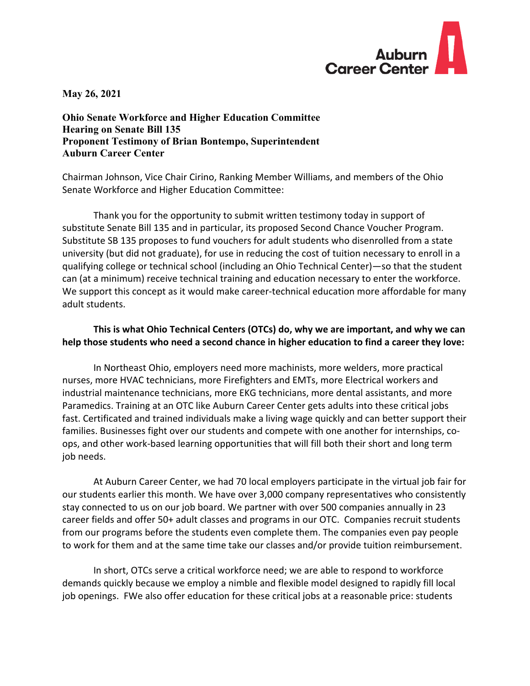

**May 26, 2021** 

**Ohio Senate Workforce and Higher Education Committee Hearing on Senate Bill 135 Proponent Testimony of Brian Bontempo, Superintendent Auburn Career Center** 

Chairman Johnson, Vice Chair Cirino, Ranking Member Williams, and members of the Ohio Senate Workforce and Higher Education Committee:

 Thank you for the opportunity to submit written testimony today in support of substitute Senate Bill 135 and in particular, its proposed Second Chance Voucher Program. Substitute SB 135 proposes to fund vouchers for adult students who disenrolled from a state university (but did not graduate), for use in reducing the cost of tuition necessary to enroll in a qualifying college or technical school (including an Ohio Technical Center)—so that the student can (at a minimum) receive technical training and education necessary to enter the workforce. We support this concept as it would make career-technical education more affordable for many adult students.

## **This is what Ohio Technical Centers (OTCs) do, why we are important, and why we can help those students who need a second chance in higher education to find a career they love:**

 In Northeast Ohio, employers need more machinists, more welders, more practical nurses, more HVAC technicians, more Firefighters and EMTs, more Electrical workers and industrial maintenance technicians, more EKG technicians, more dental assistants, and more Paramedics. Training at an OTC like Auburn Career Center gets adults into these critical jobs fast. Certificated and trained individuals make a living wage quickly and can better support their families. Businesses fight over our students and compete with one another for internships, coops, and other work-based learning opportunities that will fill both their short and long term job needs.

 At Auburn Career Center, we had 70 local employers participate in the virtual job fair for our students earlier this month. We have over 3,000 company representatives who consistently stay connected to us on our job board. We partner with over 500 companies annually in 23 career fields and offer 50+ adult classes and programs in our OTC. Companies recruit students from our programs before the students even complete them. The companies even pay people to work for them and at the same time take our classes and/or provide tuition reimbursement.

 In short, OTCs serve a critical workforce need; we are able to respond to workforce demands quickly because we employ a nimble and flexible model designed to rapidly fill local job openings. FWe also offer education for these critical jobs at a reasonable price: students